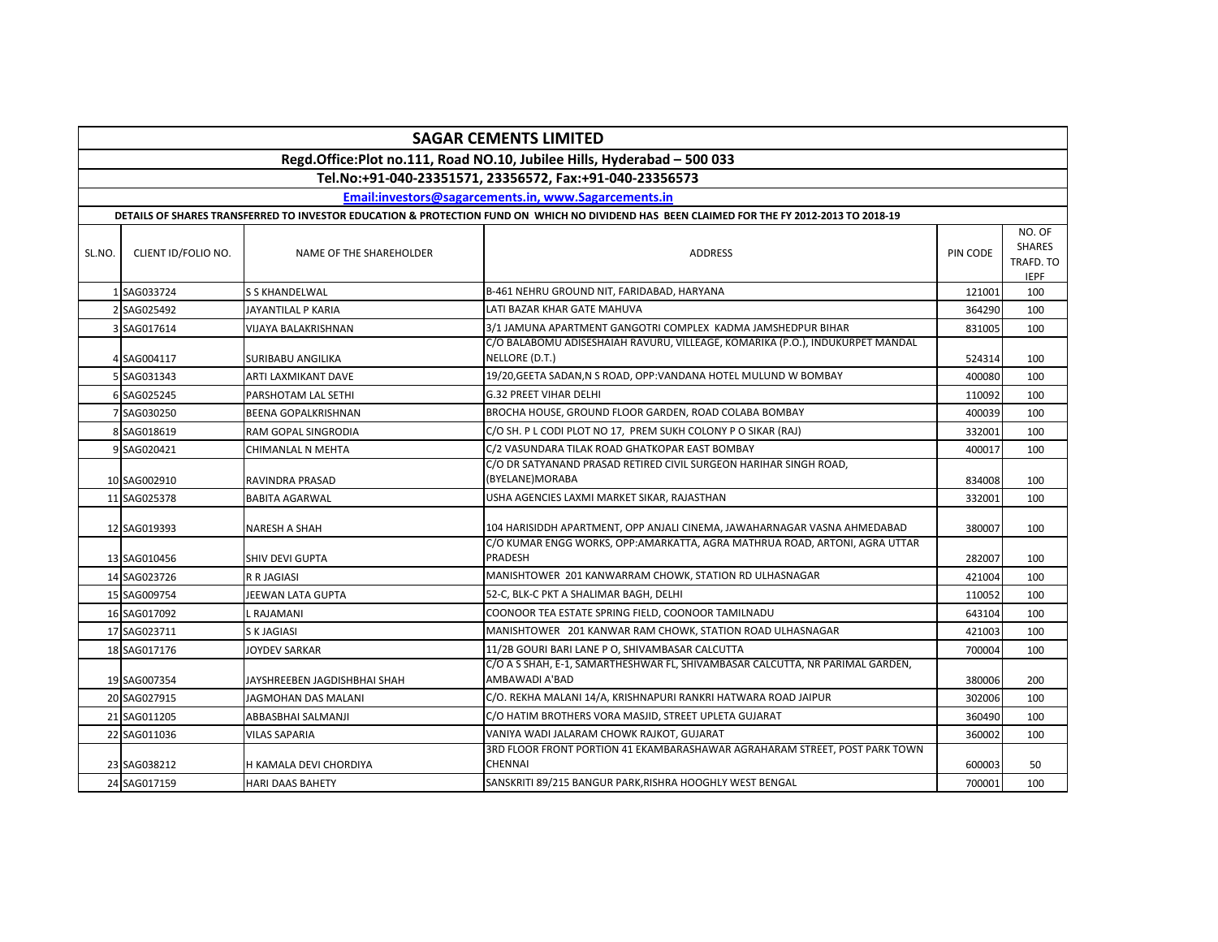| <b>SAGAR CEMENTS LIMITED</b>                                                                                                                |                     |                              |                                                                                                 |          |                                                     |  |  |  |  |  |
|---------------------------------------------------------------------------------------------------------------------------------------------|---------------------|------------------------------|-------------------------------------------------------------------------------------------------|----------|-----------------------------------------------------|--|--|--|--|--|
| Regd.Office:Plot no.111, Road NO.10, Jubilee Hills, Hyderabad - 500 033                                                                     |                     |                              |                                                                                                 |          |                                                     |  |  |  |  |  |
| Tel.No:+91-040-23351571, 23356572, Fax:+91-040-23356573                                                                                     |                     |                              |                                                                                                 |          |                                                     |  |  |  |  |  |
| Email:investors@sagarcements.in, www.Sagarcements.in                                                                                        |                     |                              |                                                                                                 |          |                                                     |  |  |  |  |  |
| DETAILS OF SHARES TRANSFERRED TO INVESTOR EDUCATION & PROTECTION FUND ON WHICH NO DIVIDEND HAS BEEN CLAIMED FOR THE FY 2012-2013 TO 2018-19 |                     |                              |                                                                                                 |          |                                                     |  |  |  |  |  |
| SL.NO.                                                                                                                                      | CLIENT ID/FOLIO NO. | NAME OF THE SHAREHOLDER      | <b>ADDRESS</b>                                                                                  | PIN CODE | NO. OF<br><b>SHARES</b><br>TRAFD. TO<br><b>IEPF</b> |  |  |  |  |  |
|                                                                                                                                             | 1 SAG033724         | S S KHANDELWAL               | B-461 NEHRU GROUND NIT, FARIDABAD, HARYANA                                                      | 121001   | 100                                                 |  |  |  |  |  |
|                                                                                                                                             | 2 SAG025492         | JAYANTILAL P KARIA           | LATI BAZAR KHAR GATE MAHUVA                                                                     | 364290   | 100                                                 |  |  |  |  |  |
|                                                                                                                                             | 3 SAG017614         | VIJAYA BALAKRISHNAN          | 3/1 JAMUNA APARTMENT GANGOTRI COMPLEX KADMA JAMSHEDPUR BIHAR                                    | 831005   | 100                                                 |  |  |  |  |  |
|                                                                                                                                             | SAG004117           | SURIBABU ANGILIKA            | C/O BALABOMU ADISESHAIAH RAVURU, VILLEAGE, KOMARIKA (P.O.), INDUKURPET MANDAL<br>NELLORE (D.T.) | 524314   | 100                                                 |  |  |  |  |  |
|                                                                                                                                             | 5 SAG031343         | ARTI LAXMIKANT DAVE          | 19/20, GEETA SADAN, N S ROAD, OPP: VANDANA HOTEL MULUND W BOMBAY                                | 400080   | 100                                                 |  |  |  |  |  |
|                                                                                                                                             | 6 SAG025245         | PARSHOTAM LAL SETHI          | <b>G.32 PREET VIHAR DELHI</b>                                                                   | 110092   | 100                                                 |  |  |  |  |  |
|                                                                                                                                             | SAG030250           | <b>BEENA GOPALKRISHNAN</b>   | BROCHA HOUSE, GROUND FLOOR GARDEN, ROAD COLABA BOMBAY                                           | 400039   | 100                                                 |  |  |  |  |  |
|                                                                                                                                             | 8 SAG018619         | RAM GOPAL SINGRODIA          | C/O SH. P L CODI PLOT NO 17, PREM SUKH COLONY P O SIKAR (RAJ)                                   | 332001   | 100                                                 |  |  |  |  |  |
|                                                                                                                                             | 9 SAG020421         | CHIMANLAL N MEHTA            | C/2 VASUNDARA TILAK ROAD GHATKOPAR EAST BOMBAY                                                  | 400017   | 100                                                 |  |  |  |  |  |
|                                                                                                                                             | 10 SAG002910        | RAVINDRA PRASAD              | C/O DR SATYANAND PRASAD RETIRED CIVIL SURGEON HARIHAR SINGH ROAD,<br>(BYELANE)MORABA            | 834008   | 100                                                 |  |  |  |  |  |
|                                                                                                                                             | 11 SAG025378        | <b>BABITA AGARWAL</b>        | USHA AGENCIES LAXMI MARKET SIKAR, RAJASTHAN                                                     | 332001   | 100                                                 |  |  |  |  |  |
|                                                                                                                                             | 12 SAG019393        | NARESH A SHAH                | 104 HARISIDDH APARTMENT, OPP ANJALI CINEMA, JAWAHARNAGAR VASNA AHMEDABAD                        | 380007   | 100                                                 |  |  |  |  |  |
|                                                                                                                                             | 13 SAG010456        | <b>SHIV DEVI GUPTA</b>       | C/O KUMAR ENGG WORKS, OPP:AMARKATTA, AGRA MATHRUA ROAD, ARTONI, AGRA UTTAR<br>PRADESH           | 282007   | 100                                                 |  |  |  |  |  |
|                                                                                                                                             | 14 SAG023726        | <b>R R JAGIASI</b>           | MANISHTOWER 201 KANWARRAM CHOWK, STATION RD ULHASNAGAR                                          | 421004   | 100                                                 |  |  |  |  |  |
|                                                                                                                                             | 15 SAG009754        | JEEWAN LATA GUPTA            | 52-C, BLK-C PKT A SHALIMAR BAGH, DELHI                                                          | 110052   | 100                                                 |  |  |  |  |  |
|                                                                                                                                             | 16 SAG017092        | . RAJAMANI                   | COONOOR TEA ESTATE SPRING FIELD, COONOOR TAMILNADU                                              | 643104   | 100                                                 |  |  |  |  |  |
|                                                                                                                                             | 17 SAG023711        | S K JAGIASI                  | MANISHTOWER 201 KANWAR RAM CHOWK, STATION ROAD ULHASNAGAR                                       | 421003   | 100                                                 |  |  |  |  |  |
|                                                                                                                                             | 18 SAG017176        | <b>JOYDEV SARKAR</b>         | 11/2B GOURI BARI LANE P O, SHIVAMBASAR CALCUTTA                                                 | 700004   | 100                                                 |  |  |  |  |  |
|                                                                                                                                             | 19 SAG007354        | JAYSHREEBEN JAGDISHBHAI SHAH | C/O A S SHAH, E-1, SAMARTHESHWAR FL, SHIVAMBASAR CALCUTTA, NR PARIMAL GARDEN,<br>AMBAWADI A'BAD | 380006   | 200                                                 |  |  |  |  |  |
|                                                                                                                                             | 20 SAG027915        | JAGMOHAN DAS MALANI          | C/O. REKHA MALANI 14/A, KRISHNAPURI RANKRI HATWARA ROAD JAIPUR                                  | 302006   | 100                                                 |  |  |  |  |  |
|                                                                                                                                             | 21 SAG011205        | ABBASBHAI SALMANJI           | C/O HATIM BROTHERS VORA MASJID, STREET UPLETA GUJARAT                                           | 360490   | 100                                                 |  |  |  |  |  |
|                                                                                                                                             | 22 SAG011036        | <b>VILAS SAPARIA</b>         | VANIYA WADI JALARAM CHOWK RAJKOT, GUJARAT                                                       | 360002   | 100                                                 |  |  |  |  |  |
|                                                                                                                                             | 23 SAG038212        | H KAMALA DEVI CHORDIYA       | 3RD FLOOR FRONT PORTION 41 EKAMBARASHAWAR AGRAHARAM STREET, POST PARK TOWN<br>CHENNAI           | 600003   | 50                                                  |  |  |  |  |  |
|                                                                                                                                             | 24 SAG017159        | <b>HARI DAAS BAHETY</b>      | SANSKRITI 89/215 BANGUR PARK, RISHRA HOOGHLY WEST BENGAL                                        | 700001   | 100                                                 |  |  |  |  |  |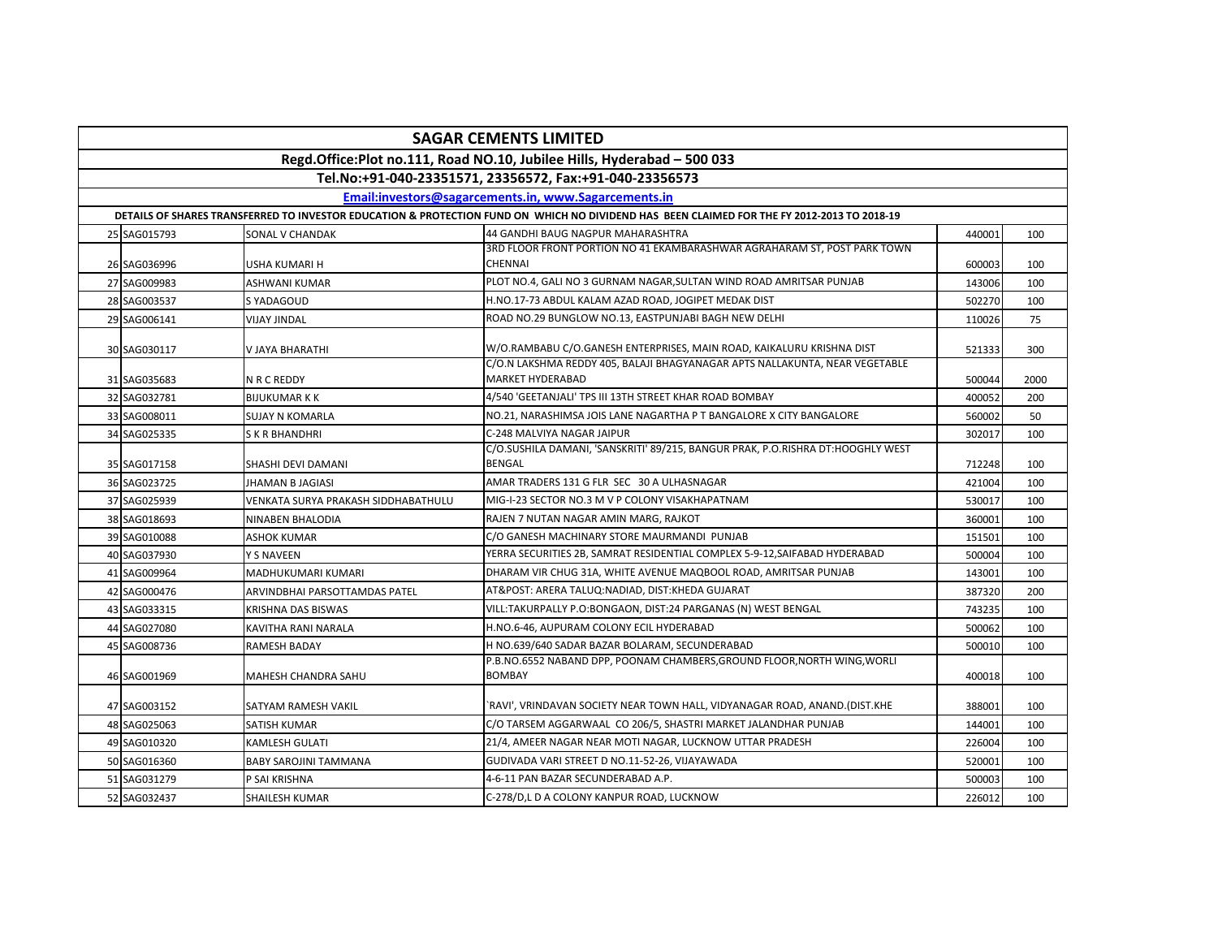| <b>SAGAR CEMENTS LIMITED</b>                                                                                                                |              |                                     |                                                                                                        |        |      |  |  |  |  |  |
|---------------------------------------------------------------------------------------------------------------------------------------------|--------------|-------------------------------------|--------------------------------------------------------------------------------------------------------|--------|------|--|--|--|--|--|
| Regd.Office:Plot no.111, Road NO.10, Jubilee Hills, Hyderabad - 500 033                                                                     |              |                                     |                                                                                                        |        |      |  |  |  |  |  |
| Tel.No:+91-040-23351571, 23356572, Fax:+91-040-23356573                                                                                     |              |                                     |                                                                                                        |        |      |  |  |  |  |  |
| Email:investors@sagarcements.in. www.Sagarcements.in                                                                                        |              |                                     |                                                                                                        |        |      |  |  |  |  |  |
| DETAILS OF SHARES TRANSFERRED TO INVESTOR EDUCATION & PROTECTION FUND ON WHICH NO DIVIDEND HAS BEEN CLAIMED FOR THE FY 2012-2013 TO 2018-19 |              |                                     |                                                                                                        |        |      |  |  |  |  |  |
|                                                                                                                                             | 25 SAG015793 | SONAL V CHANDAK                     | 44 GANDHI BAUG NAGPUR MAHARASHTRA                                                                      | 440001 | 100  |  |  |  |  |  |
|                                                                                                                                             | 26 SAG036996 | USHA KUMARI H                       | 3RD FLOOR FRONT PORTION NO 41 EKAMBARASHWAR AGRAHARAM ST, POST PARK TOWN<br><b>CHENNAI</b>             | 600003 | 100  |  |  |  |  |  |
|                                                                                                                                             | 27 SAG009983 | <b>ASHWANI KUMAR</b>                | PLOT NO.4, GALI NO 3 GURNAM NAGAR, SULTAN WIND ROAD AMRITSAR PUNJAB                                    | 143006 | 100  |  |  |  |  |  |
|                                                                                                                                             | 28 SAG003537 | S YADAGOUD                          | H.NO.17-73 ABDUL KALAM AZAD ROAD, JOGIPET MEDAK DIST                                                   | 502270 | 100  |  |  |  |  |  |
|                                                                                                                                             | 29 SAG006141 | <b>VIJAY JINDAL</b>                 | ROAD NO.29 BUNGLOW NO.13, EASTPUNJABI BAGH NEW DELHI                                                   | 110026 | 75   |  |  |  |  |  |
|                                                                                                                                             | 30 SAG030117 | V JAYA BHARATHI                     | W/O.RAMBABU C/O.GANESH ENTERPRISES, MAIN ROAD, KAIKALURU KRISHNA DIST                                  | 521333 | 300  |  |  |  |  |  |
|                                                                                                                                             | 31 SAG035683 | N R C REDDY                         | C/O.N LAKSHMA REDDY 405, BALAJI BHAGYANAGAR APTS NALLAKUNTA, NEAR VEGETABLE<br><b>MARKET HYDERABAD</b> | 500044 | 2000 |  |  |  |  |  |
|                                                                                                                                             | 32 SAG032781 | <b>BIJUKUMAR K K</b>                | 4/540 'GEETANJALI' TPS III 13TH STREET KHAR ROAD BOMBAY                                                | 400052 | 200  |  |  |  |  |  |
|                                                                                                                                             | 33 SAG008011 | SUJAY N KOMARLA                     | NO.21, NARASHIMSA JOIS LANE NAGARTHA P T BANGALORE X CITY BANGALORE                                    | 560002 | 50   |  |  |  |  |  |
|                                                                                                                                             | 34 SAG025335 | S K R BHANDHRI                      | C-248 MALVIYA NAGAR JAIPUR                                                                             | 302017 | 100  |  |  |  |  |  |
|                                                                                                                                             | 35 SAG017158 | SHASHI DEVI DAMANI                  | C/O.SUSHILA DAMANI, 'SANSKRITI' 89/215, BANGUR PRAK, P.O.RISHRA DT:HOOGHLY WEST<br><b>BENGAL</b>       | 712248 | 100  |  |  |  |  |  |
|                                                                                                                                             | 36 SAG023725 | JHAMAN B JAGIASI                    | AMAR TRADERS 131 G FLR SEC 30 A ULHASNAGAR                                                             | 421004 | 100  |  |  |  |  |  |
|                                                                                                                                             | 37 SAG025939 | VENKATA SURYA PRAKASH SIDDHABATHULU | MIG-I-23 SECTOR NO.3 M V P COLONY VISAKHAPATNAM                                                        | 530017 | 100  |  |  |  |  |  |
|                                                                                                                                             | 38 SAG018693 | NINABEN BHALODIA                    | RAJEN 7 NUTAN NAGAR AMIN MARG, RAJKOT                                                                  | 360001 | 100  |  |  |  |  |  |
|                                                                                                                                             | 39 SAG010088 | <b>ASHOK KUMAR</b>                  | C/O GANESH MACHINARY STORE MAURMANDI PUNJAB                                                            | 151501 | 100  |  |  |  |  |  |
|                                                                                                                                             | 40 SAG037930 | Y S NAVEEN                          | YERRA SECURITIES 2B, SAMRAT RESIDENTIAL COMPLEX 5-9-12,SAIFABAD HYDERABAD                              | 500004 | 100  |  |  |  |  |  |
|                                                                                                                                             | 41 SAG009964 | MADHUKUMARI KUMARI                  | DHARAM VIR CHUG 31A, WHITE AVENUE MAQBOOL ROAD, AMRITSAR PUNJAB                                        | 143001 | 100  |  |  |  |  |  |
|                                                                                                                                             | 42 SAG000476 | ARVINDBHAI PARSOTTAMDAS PATEL       | AT&POST: ARERA TALUQ:NADIAD, DIST:KHEDA GUJARAT                                                        | 387320 | 200  |  |  |  |  |  |
|                                                                                                                                             | 43 SAG033315 | KRISHNA DAS BISWAS                  | VILL:TAKURPALLY P.O:BONGAON, DIST:24 PARGANAS (N) WEST BENGAL                                          | 743235 | 100  |  |  |  |  |  |
|                                                                                                                                             | 44 SAG027080 | KAVITHA RANI NARALA                 | H.NO.6-46, AUPURAM COLONY ECIL HYDERABAD                                                               | 500062 | 100  |  |  |  |  |  |
|                                                                                                                                             | 45 SAG008736 | RAMESH BADAY                        | H NO.639/640 SADAR BAZAR BOLARAM, SECUNDERABAD                                                         | 500010 | 100  |  |  |  |  |  |
|                                                                                                                                             | 46 SAG001969 | <b>MAHESH CHANDRA SAHU</b>          | P.B.NO.6552 NABAND DPP, POONAM CHAMBERS, GROUND FLOOR, NORTH WING, WORLI<br><b>BOMBAY</b>              | 400018 | 100  |  |  |  |  |  |
|                                                                                                                                             | 47 SAG003152 | SATYAM RAMESH VAKIL                 | `RAVI', VRINDAVAN SOCIETY NEAR TOWN HALL, VIDYANAGAR ROAD, ANAND.(DIST.KHE                             | 388001 | 100  |  |  |  |  |  |
|                                                                                                                                             | 48 SAG025063 | SATISH KUMAR                        | C/O TARSEM AGGARWAAL CO 206/5, SHASTRI MARKET JALANDHAR PUNJAB                                         | 144001 | 100  |  |  |  |  |  |
|                                                                                                                                             | 49 SAG010320 | <b>KAMLESH GULATI</b>               | 21/4, AMEER NAGAR NEAR MOTI NAGAR, LUCKNOW UTTAR PRADESH                                               | 226004 | 100  |  |  |  |  |  |
|                                                                                                                                             | 50 SAG016360 | <b>BABY SAROJINI TAMMANA</b>        | GUDIVADA VARI STREET D NO.11-52-26, VIJAYAWADA                                                         | 520001 | 100  |  |  |  |  |  |
|                                                                                                                                             | 51 SAG031279 | P SAI KRISHNA                       | 4-6-11 PAN BAZAR SECUNDERABAD A.P.                                                                     | 500003 | 100  |  |  |  |  |  |
|                                                                                                                                             | 52 SAG032437 | <b>SHAILESH KUMAR</b>               | C-278/D,L D A COLONY KANPUR ROAD, LUCKNOW                                                              | 226012 | 100  |  |  |  |  |  |